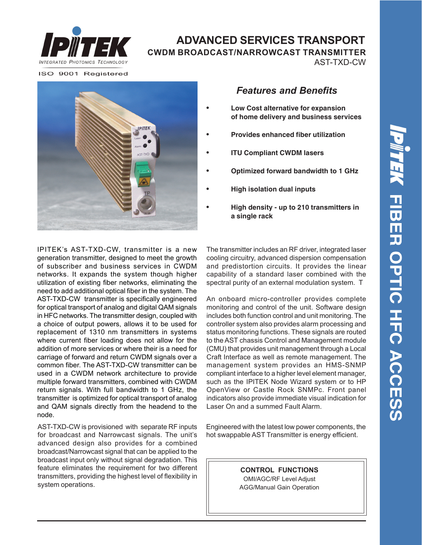

# **ADVANCED SERVICES TRANSPORT CWDM BROADCAST/NARROWCAST TRANSMITTER**

AST-TXD-CW

ISO 9001 Registered



### *Features and Benefits*

- **• Low Cost alternative for expansion of home delivery and business services**
- **• Provides enhanced fiber utilization**
- **• ITU Compliant CWDM lasers**
- **• Optimized forward bandwidth to 1 GHz**
- **• High isolation dual inputs**
- **• High density up to 210 transmitters in a single rack**

IPITEK's AST-TXD-CW, transmitter is a new generation transmitter, designed to meet the growth of subscriber and business services in CWDM networks. It expands the system though higher utilization of existing fiber networks, eliminating the need to add additional optical fiber in the system. The AST-TXD-CW transmitter is specifically engineered for optical transport of analog and digital QAM signals in HFC networks. The transmitter design, coupled with a choice of output powers, allows it to be used for replacement of 1310 nm transmitters in systems where current fiber loading does not allow for the addition of more services or where their is a need for carriage of forward and return CWDM signals over a common fiber. The AST-TXD-CW transmitter can be used in a CWDM network architecture to provide multiple forward transmitters, combined with CWDM return signals. With full bandwidth to 1 GHz, the transmitter is optimized for optical transport of analog and QAM signals directly from the headend to the node.

AST-TXD-CW is provisioned with separate RF inputs for broadcast and Narrowcast signals. The unit's advanced design also provides for a combined broadcast/Narrowcast signal that can be applied to the broadcast input only without signal degradation. This feature eliminates the requirement for two different transmitters, providing the highest level of flexibility in system operations.

The transmitter includes an RF driver, integrated laser cooling circuitry, advanced dispersion compensation and predistortion circuits. It provides the linear capability of a standard laser combined with the spectral purity of an external modulation system. T

An onboard micro-controller provides complete monitoring and control of the unit. Software design includes both function control and unit monitoring. The controller system also provides alarm processing and status monitoring functions. These signals are routed to the AST chassis Control and Management module (CMU) that provides unit management through a Local Craft Interface as well as remote management. The management system provides an HMS-SNMP compliant interface to a higher level element manager, such as the IPITEK Node Wizard system or to HP OpenView or Castle Rock SNMPc. Front panel indicators also provide immediate visual indication for Laser On and a summed Fault Alarm.

Engineered with the latest low power components, the hot swappable AST Transmitter is energy efficient.

> **CONTROL FUNCTIONS** OMI/AGC/RF Level Adjust AGG/Manual Gain Operation